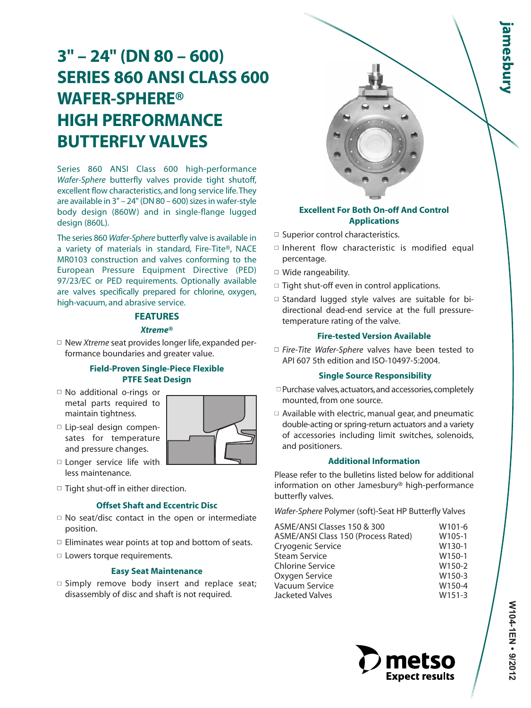# **3" – 24" (DN 80 – 600) SERIES 860 ANSI CLASS 600 WAFER-SPHERE® HIGH PERFORMANCE BUTTERFLY VALVES**

Series 860 ANSI Class 600 high-performance *Wafer-Sphere* butterfly valves provide tight shutoff, excellent flow characteristics, and long service life.They are available in 3" – 24" (DN 80 – 600) sizes in wafer-style body design (860W) and in single-flange lugged design (860L).

The series 860 *Wafer-Sphere* butterfly valve is available in a variety of materials in standard, Fire-Tite®, NACE MR0103 construction and valves conforming to the European Pressure Equipment Directive (PED) 97/23/EC or PED requirements. Optionally available are valves specifically prepared for chlorine, oxygen, high-vacuum, and abrasive service.

# **FEATURES**

## *Xtreme***®**

□ New Xtreme seat provides longer life, expanded performance boundaries and greater value.

## **Field-Proven Single-Piece Flexible PTFE Seat Design**

- No additional o-rings or metal parts required to maintain tightness.
- Lip-seal design compensates for temperature and pressure changes.



- □ Longer service life with less maintenance.
- $\Box$  Tight shut-off in either direction.

## **Offset Shaft and Eccentric Disc**

- $\Box$  No seat/disc contact in the open or intermediate position.
- $\Box$  Eliminates wear points at top and bottom of seats.
- □ Lowers torque requirements.

# **Easy Seat Maintenance**

 $\square$  Simply remove body insert and replace seat; disassembly of disc and shaft is not required.

# **Excellent For Both On-off And Control Applications**

- □ Superior control characteristics.
- $\square$  Inherent flow characteristic is modified equal percentage.
- Wide rangeability.
- $\Box$  Tight shut-off even in control applications.
- $\square$  Standard lugged style valves are suitable for bidirectional dead-end service at the full pressuretemperature rating of the valve.

#### **Fire-tested Version Available**

□ *Fire-Tite Wafer-Sphere* valves have been tested to API 607 5th edition and ISO-10497-5:2004.

# **Single Source Responsibility**

- Purchase valves,actuators,and accessories,completely mounted, from one source.
- $\Box$  Available with electric, manual gear, and pneumatic double-acting or spring-return actuators and a variety of accessories including limit switches, solenoids, and positioners.

#### **Additional Information**

Please refer to the bulletins listed below for additional information on other Jamesbury® high-performance butterfly valves.

*Wafer-Sphere* Polymer (soft)-Seat HP Butterfly Valves

| ASME/ANSI Classes 150 & 300         | W <sub>101-6</sub> |
|-------------------------------------|--------------------|
| ASME/ANSI Class 150 (Process Rated) | W105-1             |
| Cryogenic Service                   | W130-1             |
| <b>Steam Service</b>                | W <sub>150-1</sub> |
| <b>Chlorine Service</b>             | W150-2             |
| Oxygen Service                      | W150-3             |
| Vacuum Service                      | W150-4             |
| <b>Jacketed Valves</b>              | W151-3             |
|                                     |                    |

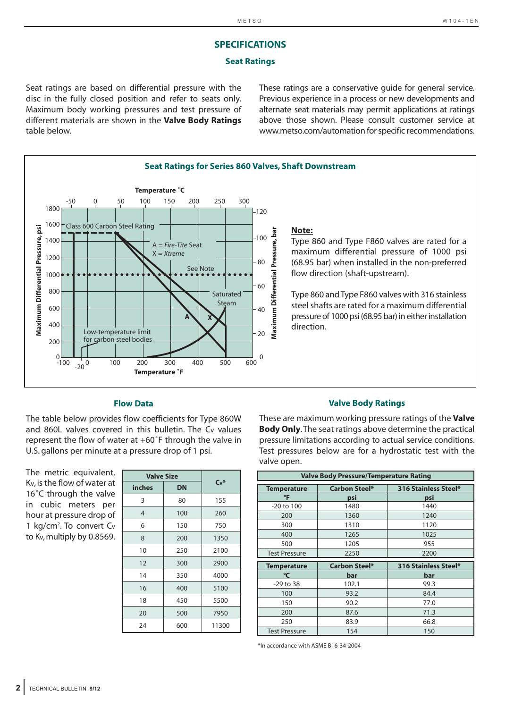# **SPECIFICATIONS**

#### **Seat Ratings**

Seat ratings are based on differential pressure with the disc in the fully closed position and refer to seats only. Maximum body working pressures and test pressure of different materials are shown in the **Valve Body Ratings** table below.

These ratings are a conservative guide for general service. Previous experience in a process or new developments and alternate seat materials may permit applications at ratings above those shown. Please consult customer service at www.metso.com/automation for specific recommendations.



#### **Flow Data**

The table below provides flow coefficients for Type 860W and 860L valves covered in this bulletin. The Cv values represent the flow of water at +60˚F through the valve in U.S. gallons per minute at a pressure drop of 1 psi.

| The metric equivalent,               |
|--------------------------------------|
| Kv, is the flow of water at          |
| 16°C through the valve               |
| in cubic meters per                  |
| hour at pressure drop of             |
| 1 kg/cm <sup>2</sup> . To convert Cv |
| to Kv, multiply by 0.8569.           |

| <b>Valve Size</b> |           |        |  |  |
|-------------------|-----------|--------|--|--|
| inches            | <b>DN</b> | $Cv^*$ |  |  |
| 3                 | 80        | 155    |  |  |
| $\overline{4}$    | 100       | 260    |  |  |
| 6                 | 150       | 750    |  |  |
| 8                 | 200       | 1350   |  |  |
| 10                | 250       | 2100   |  |  |
| 12                | 300       | 2900   |  |  |
| 14                | 350       | 4000   |  |  |
| 16                | 400       | 5100   |  |  |
| 18                | 450       | 5500   |  |  |
| 20                | 500       | 7950   |  |  |
| 24                | 600       | 11300  |  |  |

#### **Valve Body Ratings**

These are maximum working pressure ratings of the **Valve Body Only**.The seat ratings above determine the practical pressure limitations according to actual service conditions. Test pressures below are for a hydrostatic test with the valve open.

|                      | <b>Valve Body Pressure/Temperature Rating</b> |                      |  |  |  |  |
|----------------------|-----------------------------------------------|----------------------|--|--|--|--|
| Temperature          | <b>Carbon Steel*</b>                          | 316 Stainless Steel* |  |  |  |  |
| $\mathsf{P}$         | psi                                           | psi                  |  |  |  |  |
| $-20$ to $100$       | 1480                                          | 1440                 |  |  |  |  |
| 200                  | 1360                                          | 1240                 |  |  |  |  |
| 300                  | 1310                                          | 1120                 |  |  |  |  |
| 400                  | 1265                                          | 1025                 |  |  |  |  |
| 500                  | 1205                                          | 955                  |  |  |  |  |
| <b>Test Pressure</b> | 2250                                          | 2200                 |  |  |  |  |
|                      |                                               |                      |  |  |  |  |
| Temperature          | <b>Carbon Steel*</b>                          | 316 Stainless Steel* |  |  |  |  |
| °C                   | bar                                           | bar                  |  |  |  |  |
| -29 to 38            | 102.1                                         | 99.3                 |  |  |  |  |
| 100                  | 93.2                                          | 84.4                 |  |  |  |  |
| 150                  | 90.2                                          | 77.0                 |  |  |  |  |
| 200                  | 87.6                                          | 71.3                 |  |  |  |  |
| 250                  | 83.9                                          | 66.8                 |  |  |  |  |

\*In accordance with ASME B16-34-2004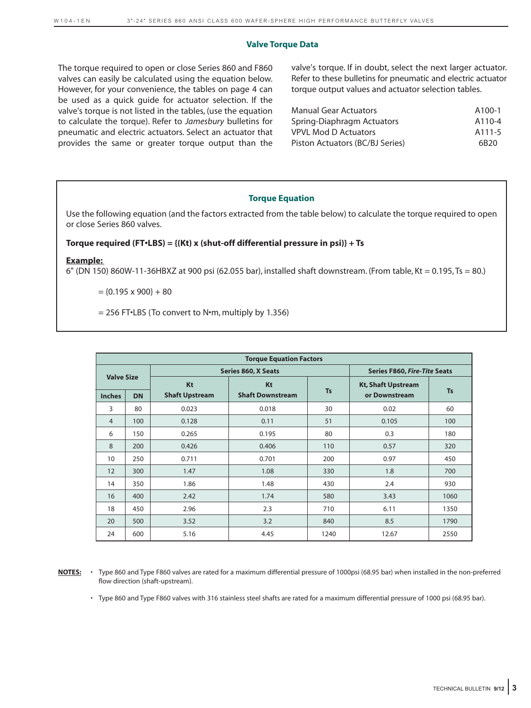#### **Valve Torque Data**

The torque required to open or close Series 860 and F860 valves can easily be calculated using the equation below. However, for your convenience, the tables on page 4 can be used as a quick guide for actuator selection. If the valve's torque is not listed in the tables, (use the equation to calculate the torque). Refer to *Jamesbury* bulletins for pneumatic and electric actuators. Select an actuator that provides the same or greater torque output than the valve's torque. If in doubt, select the next larger actuator. Refer to these bulletins for pneumatic and electric actuator torque output values and actuator selection tables.

| <b>Manual Gear Actuators</b>    | A <sub>100-1</sub> |
|---------------------------------|--------------------|
| Spring-Diaphragm Actuators      | A110-4             |
| <b>VPVL Mod D Actuators</b>     | A111-5             |
| Piston Actuators (BC/BJ Series) | 6B <sub>20</sub>   |

## **Torque Equation**

Use the following equation (and the factors extracted from the table below) to calculate the torque required to open or close Series 860 valves.

#### **Torque required (FT•LBS) = {(Kt) x (shut-off differential pressure in psi)} + Ts**

#### **Example:**

6" (DN 150) 860W-11-36HBXZ at 900 psi (62.055 bar), installed shaft downstream. (From table, Kt = 0.195, Ts = 80.)

 $=$  {0.195 x 900} + 80

 $= 256$  FT $\cdot$ LBS (To convert to N $\cdot$ m, multiply by 1.356)

|                   | <b>Torque Equation Factors</b> |                       |                         |                                     |                           |           |  |  |  |  |  |  |  |  |
|-------------------|--------------------------------|-----------------------|-------------------------|-------------------------------------|---------------------------|-----------|--|--|--|--|--|--|--|--|
|                   |                                |                       | Series 860, X Seats     | <b>Series F860, Fire-Tite Seats</b> |                           |           |  |  |  |  |  |  |  |  |
| <b>Valve Size</b> |                                | Kt                    | Kt                      |                                     | <b>Kt, Shaft Upstream</b> |           |  |  |  |  |  |  |  |  |
| <b>Inches</b>     | <b>DN</b>                      | <b>Shaft Upstream</b> | <b>Shaft Downstream</b> | <b>Ts</b>                           | or Downstream             | <b>Ts</b> |  |  |  |  |  |  |  |  |
| 3                 | 80                             | 0.023                 | 0.018                   | 30                                  | 0.02                      | 60        |  |  |  |  |  |  |  |  |
| $\overline{4}$    | 100                            | 0.128                 | 0.11                    | 51                                  | 0.105                     | 100       |  |  |  |  |  |  |  |  |
| 6                 | 150                            | 0.265                 | 0.195                   | 80                                  | 0.3                       | 180       |  |  |  |  |  |  |  |  |
| 8                 | 200                            | 0.426                 | 0.406                   | 110                                 | 0.57                      | 320       |  |  |  |  |  |  |  |  |
| 10                | 250                            | 0.711                 | 0.701                   | 200                                 | 0.97                      | 450       |  |  |  |  |  |  |  |  |
| 12                | 300                            | 1.47                  | 1.08                    | 330                                 | 1.8                       | 700       |  |  |  |  |  |  |  |  |
| 14                | 350                            | 1.86                  | 1.48                    | 430                                 | 2.4                       | 930       |  |  |  |  |  |  |  |  |
| 16                | 400                            | 2.42                  | 1.74                    | 580                                 | 3.43                      | 1060      |  |  |  |  |  |  |  |  |
| 18                | 450                            | 2.96                  | 2.3                     | 710                                 | 6.11                      | 1350      |  |  |  |  |  |  |  |  |
| 20                | 500                            | 3.52                  | 3.2                     | 840                                 | 8.5                       | 1790      |  |  |  |  |  |  |  |  |
| 24                | 600                            | 5.16                  | 4.45                    | 1240                                | 12.67                     | 2550      |  |  |  |  |  |  |  |  |

**NOTES:** • Type 860 and Type F860 valves are rated for a maximum differential pressure of 1000psi (68.95 bar) when installed in the non-preferred flow direction (shaft-upstream).

• Type 860 and Type F860 valves with 316 stainless steel shafts are rated for a maximum differential pressure of 1000 psi (68.95 bar).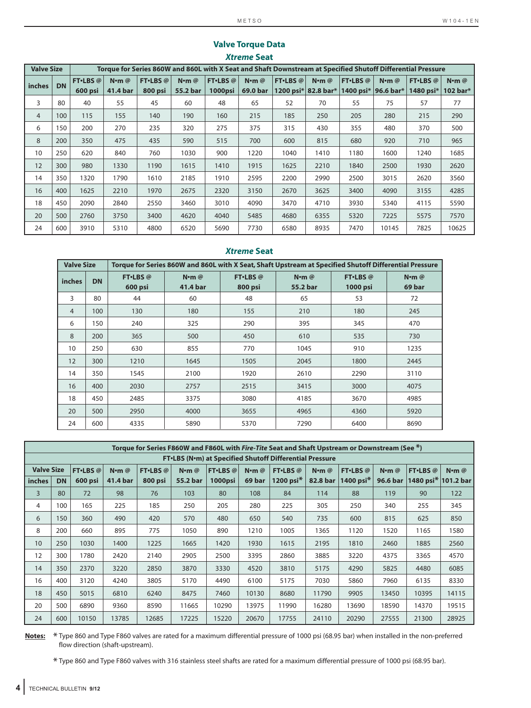|                   |           |                  |                      |                  |                 |          | AUCINE JEAL                                                                                                 |          |                      |                  |                      |                  |                      |  |
|-------------------|-----------|------------------|----------------------|------------------|-----------------|----------|-------------------------------------------------------------------------------------------------------------|----------|----------------------|------------------|----------------------|------------------|----------------------|--|
| <b>Valve Size</b> |           |                  |                      |                  |                 |          | Torque for Series 860W and 860L with X Seat and Shaft Downstream at Specified Shutoff Differential Pressure |          |                      |                  |                      |                  |                      |  |
|                   | <b>DN</b> | <b>FT</b> •LBS @ | $N \cdot m$ $\omega$ | <b>FT</b> •LBS @ | $N \cdot m$ $@$ | FT·LBS @ | $N$ -m $@$                                                                                                  | FT-LBS @ | $N \cdot m$ $\omega$ | <b>FT</b> •LBS @ | $N \cdot m$ $\omega$ | <b>FT</b> ·LBS @ | $N \cdot m$ $\omega$ |  |
| <i>inches</i>     |           | 600 psi          | 41.4 bar             | 800 psi          | 55.2 bar        | 1000psi  | 69.0 bar                                                                                                    |          | 1200 psi* 82.8 bar*  | 1400 psi*        | 96.6 bar*            | 1480 psi*        | 102 bar $*$          |  |
| 3                 | 80        | 40               | 55                   | 45               | 60              | 48       | 65                                                                                                          | 52       | 70                   | 55               | 75                   | 57               | 77                   |  |
| $\overline{4}$    | 100       | 115              | 155                  | 140              | 190             | 160      | 215                                                                                                         | 185      | 250                  | 205              | 280                  | 215              | 290                  |  |
| 6                 | 150       | 200              | 270                  | 235              | 320             | 275      | 375                                                                                                         | 315      | 430                  | 355              | 480                  | 370              | 500                  |  |
| 8                 | 200       | 350              | 475                  | 435              | 590             | 515      | 700                                                                                                         | 600      | 815                  | 680              | 920                  | 710              | 965                  |  |
| 10                | 250       | 620              | 840                  | 760              | 1030            | 900      | 1220                                                                                                        | 1040     | 1410                 | 1180             | 1600                 | 1240             | 1685                 |  |
| 12                | 300       | 980              | 1330                 | 1190             | 1615            | 1410     | 1915                                                                                                        | 1625     | 2210                 | 1840             | 2500                 | 1930             | 2620                 |  |
| 14                | 350       | 1320             | 1790                 | 1610             | 2185            | 1910     | 2595                                                                                                        | 2200     | 2990                 | 2500             | 3015                 | 2620             | 3560                 |  |
| 16                | 400       | 1625             | 2210                 | 1970             | 2675            | 2320     | 3150                                                                                                        | 2670     | 3625                 | 3400             | 4090                 | 3155             | 4285                 |  |
| 18                | 450       | 2090             | 2840                 | 2550             | 3460            | 3010     | 4090                                                                                                        | 3470     | 4710                 | 3930             | 5340                 | 4115             | 5590                 |  |
| 20                | 500       | 2760             | 3750                 | 3400             | 4620            | 4040     | 5485                                                                                                        | 4680     | 6355                 | 5320             | 7225                 | 5575             | 7570                 |  |
| 24                | 600       | 3910             | 5310                 | 4800             | 6520            | 5690     | 7730                                                                                                        | 6580     | 8935                 | 7470             | 10145                | 7825             | 10625                |  |

# **Valve Torque Data** *Xtreme* **Seat**

# *Xtreme* **Seat**

| <b>Valve Size</b> |           |                    | Torque for Series 860W and 860L with X Seat, Shaft Upstream at Specified Shutoff Differential Pressure |                           |                           |                     |                           |  |
|-------------------|-----------|--------------------|--------------------------------------------------------------------------------------------------------|---------------------------|---------------------------|---------------------|---------------------------|--|
| <i>inches</i>     | <b>DN</b> | FT.LBS@<br>600 psi | $N \cdot m$ @<br>41.4 bar                                                                              | FT-LBS@<br><b>800 psi</b> | $N \cdot m$ @<br>55.2 bar | FT.LBS@<br>1000 psi | $N \cdot m$ $@$<br>69 bar |  |
| 3                 | 80        | 44                 | 60                                                                                                     | 48                        | 65                        | 53                  | 72                        |  |
| $\overline{4}$    | 100       | 130                | 180                                                                                                    | 155                       | 210                       | 180                 | 245                       |  |
| 6                 | 150       | 240                | 325                                                                                                    | 290                       | 395                       | 345                 | 470                       |  |
| 8                 | 200       | 365                | 500                                                                                                    | 450                       | 610                       | 535                 | 730                       |  |
| 10                | 250       | 630                | 855                                                                                                    | 770                       | 1045                      | 910                 | 1235                      |  |
| 12                | 300       | 1210               | 1645                                                                                                   | 1505                      | 2045                      | 1800                | 2445                      |  |
| 14                | 350       | 1545               | 2100                                                                                                   | 1920                      | 2610                      | 2290                | 3110                      |  |
| 16                | 400       | 2030               | 2757                                                                                                   | 2515                      | 3415                      | 3000                | 4075                      |  |
| 18                | 450       | 2485               | 3375                                                                                                   | 3080                      | 4185                      | 3670                | 4985                      |  |
| 20                | 500       | 2950               | 4000                                                                                                   | 3655                      | 4965                      | 4360                | 5920                      |  |
| 24                | 600       | 4335               | 5890                                                                                                   | 5370                      | 7290                      | 6400                | 8690                      |  |

|                   | Torque for Series F860W and F860L with Fire-Tite Seat and Shaft Upstream or Downstream (See *) |          |               |                  |               |                  |                  |                  |               |                                   |          |                                 |                 |  |  |
|-------------------|------------------------------------------------------------------------------------------------|----------|---------------|------------------|---------------|------------------|------------------|------------------|---------------|-----------------------------------|----------|---------------------------------|-----------------|--|--|
|                   | <b>FT.LBS (N.m) at Specified Shutoff Differential Pressure</b>                                 |          |               |                  |               |                  |                  |                  |               |                                   |          |                                 |                 |  |  |
| <b>Valve Size</b> |                                                                                                | FT-LBS @ | $N \cdot m$ @ | <b>FT</b> •LBS @ | $N \cdot m$ @ | <b>FT</b> •LBS @ | $N$ <b>m</b> $@$ | <b>FT</b> ·LBS @ | $N \cdot m$ @ | <b>FT</b> ·LBS @<br>$N \cdot m$ @ |          | FT-LBS @                        | $N \cdot m$ $@$ |  |  |
| inches            | <b>DN</b>                                                                                      | 600 psi  | 41.4 bar      | 800 psi          | 55.2 bar      | 1000psi          | 69 bar           | 1200 psi $*$     | 82.8 bar      | 1400 psi $*$                      | 96.6 bar | 1480 psi <sup>*</sup> 101.2 bar |                 |  |  |
| 3                 | 80                                                                                             | 72       | 98            | 76               | 103           | 80               | 108              | 84               | 114           | 88                                | 119      | 90                              | 122             |  |  |
| 4                 | 100                                                                                            | 165      | 225           | 185              | 250           | 205              | 280              | 225              | 305           | 250                               | 340      | 255                             | 345             |  |  |
| 6                 | 150                                                                                            | 360      | 490           | 420              | 570           | 480              | 650              | 540              | 735           | 600                               | 815      | 625                             | 850             |  |  |
| 8                 | 200                                                                                            | 660      | 895           | 775              | 1050          | 890              | 1210             | 1005             | 1365          | 1120                              | 1520     | 1165                            | 1580            |  |  |
| 10                | 250                                                                                            | 1030     | 1400          | 1225             | 1665          | 1420             | 1930             | 1615             | 2195          | 1810                              | 2460     | 1885                            | 2560            |  |  |
| 12                | 300                                                                                            | 1780     | 2420          | 2140             | 2905          | 2500             | 3395             | 2860             | 3885          | 3220                              | 4375     | 3365                            | 4570            |  |  |
| 14                | 350                                                                                            | 2370     | 3220          | 2850             | 3870          | 3330             | 4520             | 3810             | 5175          | 4290                              | 5825     | 4480                            | 6085            |  |  |
| 16                | 400                                                                                            | 3120     | 4240          | 3805             | 5170          | 4490             | 6100             | 5175             | 7030          | 5860                              | 7960     | 6135                            | 8330            |  |  |
| 18                | 450                                                                                            | 5015     | 6810          | 6240             | 8475          | 7460             | 10130            | 8680             | 11790         | 9905                              | 13450    | 10395                           | 14115           |  |  |
| 20                | 500                                                                                            | 6890     | 9360          | 8590             | 11665         | 10290            | 13975            | 11990            | 16280         | 13690                             | 18590    | 14370                           | 19515           |  |  |
| 24                | 600                                                                                            | 10150    | 13785         | 12685            | 17225         | 15220            | 20670            | 17755            | 24110         | 20290                             | 27555    | 21300                           | 28925           |  |  |

**Notes:** \* Type 860 and Type F860 valves are rated for a maximum differential pressure of 1000 psi (68.95 bar) when installed in the non-preferred flow direction (shaft-upstream).

\* Type 860 and Type F860 valves with 316 stainless steel shafts are rated for a maximum differential pressure of 1000 psi (68.95 bar).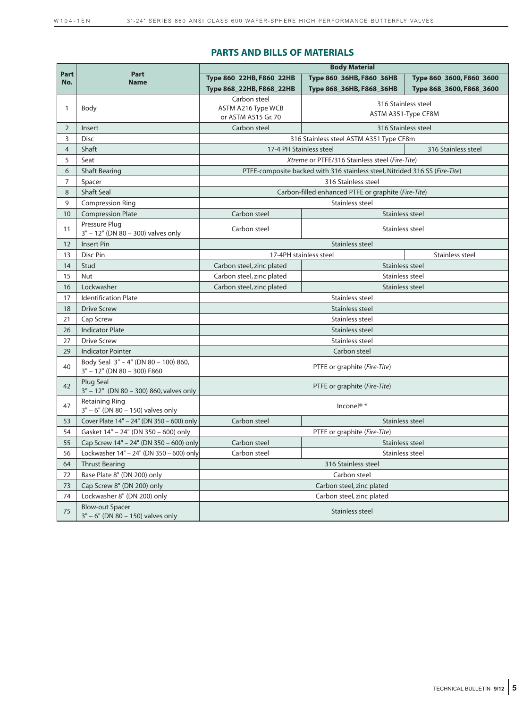#### **PARTS AND BILLS OF MATERIALS**

|                |                                                                     |                                              | <b>Body Material</b>                                                        |                          |  |  |  |  |  |  |  |  |
|----------------|---------------------------------------------------------------------|----------------------------------------------|-----------------------------------------------------------------------------|--------------------------|--|--|--|--|--|--|--|--|
| Part<br>No.    | Part<br><b>Name</b>                                                 | Type 860 22HB, F860 22HB                     | Type 860 36HB, F860 36HB                                                    | Type 860_3600, F860_3600 |  |  |  |  |  |  |  |  |
|                |                                                                     | Type 868 22HB, F868 22HB                     | Type 868_36HB, F868_36HB                                                    | Type 868_3600, F868_3600 |  |  |  |  |  |  |  |  |
|                |                                                                     | Carbon steel                                 |                                                                             | 316 Stainless steel      |  |  |  |  |  |  |  |  |
| 1              | Body                                                                | ASTM A216 Type WCB                           |                                                                             | ASTM A351-Type CF8M      |  |  |  |  |  |  |  |  |
| $\overline{2}$ | Insert                                                              | or ASTM A515 Gr. 70<br>Carbon steel          |                                                                             | 316 Stainless steel      |  |  |  |  |  |  |  |  |
| 3              | <b>Disc</b>                                                         |                                              | 316 Stainless steel ASTM A351 Type CF8m                                     |                          |  |  |  |  |  |  |  |  |
| $\overline{4}$ | Shaft                                                               | 17-4 PH Stainless steel                      |                                                                             | 316 Stainless steel      |  |  |  |  |  |  |  |  |
| 5              | Seat                                                                |                                              | Xtreme or PTFE/316 Stainless steel (Fire-Tite)                              |                          |  |  |  |  |  |  |  |  |
| 6              | <b>Shaft Bearing</b>                                                |                                              | PTFE-composite backed with 316 stainless steel, Nitrided 316 SS (Fire-Tite) |                          |  |  |  |  |  |  |  |  |
| $\overline{7}$ | Spacer                                                              |                                              | 316 Stainless steel                                                         |                          |  |  |  |  |  |  |  |  |
| $\,8\,$        | <b>Shaft Seal</b>                                                   |                                              | Carbon-filled enhanced PTFE or graphite (Fire-Tite)                         |                          |  |  |  |  |  |  |  |  |
| 9              | <b>Compression Ring</b>                                             | Stainless steel                              |                                                                             |                          |  |  |  |  |  |  |  |  |
| 10             | <b>Compression Plate</b>                                            | Carbon steel                                 | Stainless steel                                                             |                          |  |  |  |  |  |  |  |  |
| 11             | Pressure Plug<br>3" - 12" (DN 80 - 300) valves only                 | Carbon steel                                 | Stainless steel                                                             |                          |  |  |  |  |  |  |  |  |
| 12             | <b>Insert Pin</b>                                                   |                                              | Stainless steel                                                             |                          |  |  |  |  |  |  |  |  |
| 13             | Disc Pin                                                            |                                              | 17-4PH stainless steel                                                      |                          |  |  |  |  |  |  |  |  |
| 14             | Stud                                                                | Carbon steel, zinc plated                    | Stainless steel                                                             |                          |  |  |  |  |  |  |  |  |
| 15             | Nut                                                                 | Stainless steel<br>Carbon steel, zinc plated |                                                                             |                          |  |  |  |  |  |  |  |  |
| 16             | Lockwasher                                                          | Carbon steel, zinc plated                    | Stainless steel                                                             |                          |  |  |  |  |  |  |  |  |
| 17             | <b>Identification Plate</b>                                         |                                              | Stainless steel                                                             |                          |  |  |  |  |  |  |  |  |
| 18             | <b>Drive Screw</b>                                                  |                                              | Stainless steel                                                             |                          |  |  |  |  |  |  |  |  |
| 21             | Cap Screw                                                           |                                              | Stainless steel                                                             |                          |  |  |  |  |  |  |  |  |
| 26             | <b>Indicator Plate</b>                                              |                                              | Stainless steel                                                             |                          |  |  |  |  |  |  |  |  |
| 27             | <b>Drive Screw</b>                                                  |                                              | Stainless steel                                                             |                          |  |  |  |  |  |  |  |  |
| 29             | <b>Indicator Pointer</b>                                            |                                              | Carbon steel                                                                |                          |  |  |  |  |  |  |  |  |
| 40             | Body Seal 3" - 4" (DN 80 - 100) 860,<br>3" - 12" (DN 80 - 300) F860 |                                              | PTFE or graphite (Fire-Tite)                                                |                          |  |  |  |  |  |  |  |  |
| 42             | Plug Seal<br>3" - 12" (DN 80 - 300) 860, valves only                |                                              | PTFE or graphite (Fire-Tite)                                                |                          |  |  |  |  |  |  |  |  |
| 47             | Retaining Ring<br>3" - 6" (DN 80 - 150) valves only                 |                                              | Inconel <sup>®</sup> *                                                      |                          |  |  |  |  |  |  |  |  |
| 53             | Cover Plate 14" - 24" (DN 350 - 600) only                           | Carbon steel                                 | Stainless steel                                                             |                          |  |  |  |  |  |  |  |  |
| 54             | Gasket 14" - 24" (DN 350 - 600) only                                |                                              | PTFE or graphite (Fire-Tite)                                                |                          |  |  |  |  |  |  |  |  |
| 55             | Cap Screw 14" - 24" (DN 350 - 600) only                             | Carbon steel<br>Stainless steel              |                                                                             |                          |  |  |  |  |  |  |  |  |
| 56             | Lockwasher 14" - 24" (DN 350 - 600) only                            | Carbon steel                                 | Stainless steel                                                             |                          |  |  |  |  |  |  |  |  |
| 64             | <b>Thrust Bearing</b>                                               | 316 Stainless steel                          |                                                                             |                          |  |  |  |  |  |  |  |  |
| 72             | Base Plate 8" (DN 200) only                                         | Carbon steel                                 |                                                                             |                          |  |  |  |  |  |  |  |  |
| 73             | Cap Screw 8" (DN 200) only                                          |                                              | Carbon steel, zinc plated                                                   |                          |  |  |  |  |  |  |  |  |
| 74             | Lockwasher 8" (DN 200) only                                         |                                              | Carbon steel, zinc plated                                                   |                          |  |  |  |  |  |  |  |  |
| 75             | <b>Blow-out Spacer</b><br>3" - 6" (DN 80 - 150) valves only         |                                              | Stainless steel                                                             |                          |  |  |  |  |  |  |  |  |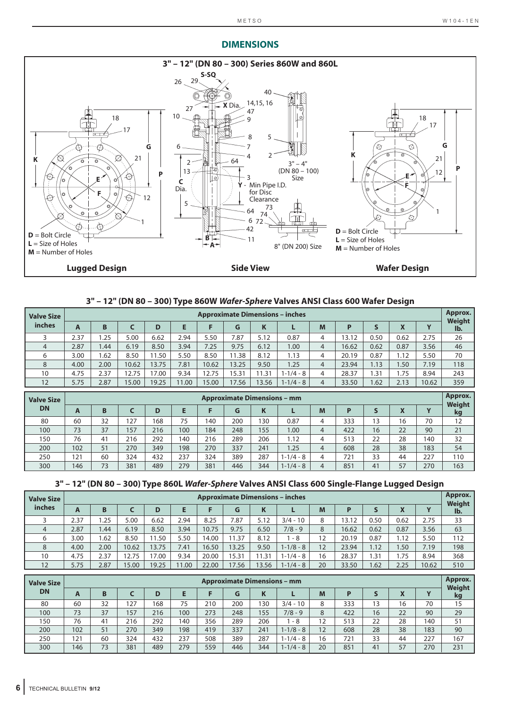# **DIMENSIONS**



# **3" – 12" (DN 80 – 300) Type 860W** *Wafer-Sphere* **Valves ANSI Class 600 Wafer Design**

| <b>Valve Size</b> |      | <b>Approximate Dimensions - inches</b> |       |       |      |       |       |       |               |                |       |      |      |       |                          |  |
|-------------------|------|----------------------------------------|-------|-------|------|-------|-------|-------|---------------|----------------|-------|------|------|-------|--------------------------|--|
| inches            | A    | B                                      |       | D     | E    |       | G     | K     |               | M              | Р     | S    |      |       | Weight<br>lb.            |  |
|                   | 2.37 | .25                                    | 5.00  | 6.62  | 2.94 | 5.50  | 7.87  | 5.12  | 0.87          | 4              | 13.12 | 0.50 | 0.62 | 2.75  | 26                       |  |
| 4                 | 2.87 | 1.44                                   | 6.19  | 8.50  | 3.94 | 7.25  | 9.75  | 6.12  | 1.00          | $\overline{4}$ | 16.62 | 0.62 | 0.87 | 3.56  | 46                       |  |
| 6                 | 3.00 | .62                                    | 8.50  | 11.50 | 5.50 | 8.50  | 11.38 | 8.12  | 1.13          | 4              | 20.19 | 0.87 | 1.12 | 5.50  | 70                       |  |
| 8                 | 4.00 | 2.00                                   | 10.62 | 13.75 | 7.81 | 10.62 | 13.25 | 9.50  | 1.25          | $\overline{4}$ | 23.94 | 1.13 | 1.50 | 7.19  | 118                      |  |
| 10                | 4.75 | 2.37                                   | 12.75 | 17.00 | 9.34 | 12.75 | 15.31 | 11.31 | $1 - 1/4 - 8$ | 4              | 28.37 | 31.، | 1.75 | 8.94  | 243                      |  |
| 12                | 5.75 | 2.87                                   | 15.00 | 19.25 | 1.00 | 15.00 | 17.56 | 13.56 | $1 - 1/4 - 8$ | $\overline{4}$ | 33.50 | 1.62 | 2.13 | 10.62 | 359                      |  |
|                   |      |                                        |       |       |      |       |       |       |               |                |       |      |      |       | $\overline{\phantom{a}}$ |  |

| <b>Valve Size</b> |     | <b>Approximate Dimensions - mm</b> |     |     |     |     |     |     |               |   |     |    |    |                          |              |  |
|-------------------|-----|------------------------------------|-----|-----|-----|-----|-----|-----|---------------|---|-----|----|----|--------------------------|--------------|--|
| <b>DN</b>         | A   | B                                  |     | D   | Е   |     |     | K   |               | M | D   |    |    | $\overline{\phantom{a}}$ | Weight<br>kg |  |
| 80                | 60  | 32                                 | 127 | 68  | 75  | 140 | 200 | 130 | 0.87          | 4 | 333 | 13 | 16 | 70                       | 12           |  |
| 100               | 73  | 37                                 | 157 | 216 | 100 | 184 | 248 | 155 | 00.1          | 4 | 422 | 16 | 22 | 90                       | 21           |  |
| 150               | 76  | 41                                 | 216 | 292 | 140 | 216 | 289 | 206 | 1.12          | 4 | 513 | 22 | 28 | 140                      | 32           |  |
| 200               | 102 | 51                                 | 270 | 349 | 198 | 270 | 337 | 241 | 1.25          | 4 | 608 | 28 | 38 | 183                      | 54           |  |
| 250               | 121 | 60                                 | 324 | 432 | 237 | 324 | 389 | 287 | $1 - 1/4 - 8$ | 4 | 721 | 33 | 44 | 227                      | 110          |  |
| 300               | 146 | 73                                 | 381 | 489 | 279 | 381 | 446 | 344 | $1 - 1/4 - 8$ | 4 | 851 | 41 | 57 | 270                      | 163          |  |

|  |  | 3" - 12" (DN 80 - 300) Type 860L Wafer-Sphere Valves ANSI Class 600 Single-Flange Lugged Design |  |  |
|--|--|-------------------------------------------------------------------------------------------------|--|--|
|  |  |                                                                                                 |  |  |

| <b>Valve Size</b> | <b>Approximate Dimensions - inches</b> |      |       |       |      |       |       |       |               |    |       |       |      |       | Approx.<br><b>Weight</b> |
|-------------------|----------------------------------------|------|-------|-------|------|-------|-------|-------|---------------|----|-------|-------|------|-------|--------------------------|
| inches            | A                                      | B    |       | D     | E    |       | G     | K     |               | M  | D     |       |      |       | lb.                      |
|                   | 2.37                                   | .25  | 5.00  | 6.62  | 2.94 | 8.25  | 7.87  | 5.12  | $3/4 - 10$    | 8  | 13.12 | 0.50  | 0.62 | 2.75  | 33                       |
| 4                 | 2.87                                   | .44  | 6.19  | 8.50  | 3.94 | 10.75 | 9.75  | 6.50  | $7/8 - 9$     | 8  | 16.62 | 0.62  | 0.87 | 3.56  | 63                       |
| 6                 | 3.00                                   | .62  | 8.50  | 1.50  | 5.50 | 14.00 | 1.37  | 8.12  | - 8           | 12 | 20.19 | 0.87  | 1.12 | 5.50  | 112                      |
| 8                 | 4.00                                   | 2.00 | 10.62 | 13.75 | 7.41 | 16.50 | 13.25 | 9.50  | $1 - 1/8 - 8$ | 12 | 23.94 | 1.12  | 1.50 | 7.19  | 198                      |
| 10                | 4.75                                   | 2.37 | 12.75 | 17.00 | 9.34 | 20.00 | 15.31 | 1.31  | $1 - 1/4 - 8$ | 16 | 28.37 | 31. ، | . 75 | 8.94  | 368                      |
| 12                | 5.75                                   | 2.87 | 15.00 | 19.25 | 1.00 | 22.00 | 17.56 | 13.56 | $1 - 1/4 - 8$ | 20 | 33.50 | 1.62  | 2.25 | 10.62 | 510                      |

| <b>Valve Size</b> | <b>Approximate Dimensions - mm</b> |    |     |     |     |     |     |     |               |    |     |    |    |     | Approx.<br>Weight |
|-------------------|------------------------------------|----|-----|-----|-----|-----|-----|-----|---------------|----|-----|----|----|-----|-------------------|
| <b>DN</b>         | A                                  | B  |     | D   | Е   |     | G   |     |               | M  | D   |    |    |     | kg                |
| 80                | 60                                 | 32 | 127 | 168 | 75  | 210 | 200 | 130 | $3/4 - 10$    | 8  | 333 | 13 | 16 | 70  | 15                |
| 100               | 73                                 | 37 | 157 | 216 | 100 | 273 | 248 | 155 | $7/8 - 9$     | 8  | 422 | 16 | 22 | 90  | 29                |
| 150               | 76                                 | 41 | 216 | 292 | 140 | 356 | 289 | 206 | - 8           | 12 | 513 | 22 | 28 | 140 | 51                |
| 200               | 102                                | 51 | 270 | 349 | 198 | 419 | 337 | 241 | $1 - 1/8 - 8$ | 12 | 608 | 28 | 38 | 183 | 90                |
| 250               | 121                                | 60 | 324 | 432 | 237 | 508 | 389 | 287 | 1-1/4 - 8     | 16 | 721 | 33 | 44 | 227 | 167               |
| 300               | 146                                | 73 | 381 | 489 | 279 | 559 | 446 | 344 | $1 - 1/4 - 8$ | 20 | 851 | 41 | 57 | 270 | 231               |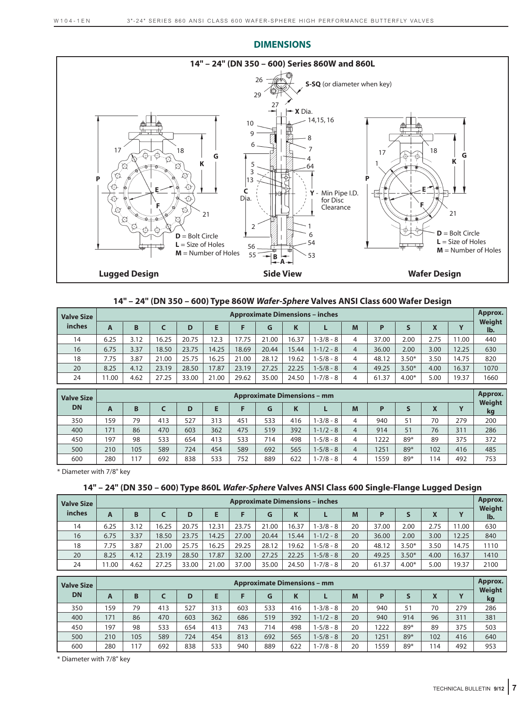

#### **DIMENSIONS**

# **14" – 24" (DN 350 – 600) Type 860W** *Wafer-Sphere* **Valves ANSI Class 600 Wafer Design**

| <b>Valve Size</b> |       | <b>Approximate Dimensions - inches</b> |       |       |       |       |       |       |               |   |       |         |      |       |               |
|-------------------|-------|----------------------------------------|-------|-------|-------|-------|-------|-------|---------------|---|-------|---------|------|-------|---------------|
| inches            | A     | B                                      |       | D     | Е     |       | G     |       |               | M | P     |         |      |       | Weight<br>Ib. |
| 14                | 6.25  | 3.12                                   | 16.25 | 20.75 | 12.3  | 17.75 | 21.00 | 16.37 | $1 - 3/8 - 8$ | 4 | 37.00 | 2.00    | 2.75 | 11.00 | 440           |
| 16                | 6.75  | 3.37                                   | 18.50 | 23.75 | 14.25 | 18.69 | 20.44 | 15.44 | $1 - 1/2 - 8$ | 4 | 36.00 | 2.00    | 3.00 | 12.25 | 630           |
| 18                | 7.75  | 3.87                                   | 21.00 | 25.75 | 16.25 | 21.00 | 28.12 | 19.62 | $1 - 5/8 - 8$ | 4 | 48.12 | $3.50*$ | 3.50 | 14.75 | 820           |
| 20                | 8.25  | 4.12                                   | 23.19 | 28.50 | 17.87 | 23.19 | 27.25 | 22.25 | $1 - 5/8 - 8$ | 4 | 49.25 | $3.50*$ | 4.00 | 16.37 | 1070          |
| 24                | 11.00 | 4.62                                   | 27.25 | 33.00 | 21.00 | 29.62 | 35.00 | 24.50 | $1 - 7/8 - 8$ | 4 | 61.37 | $4.00*$ | 5.00 | 19.37 | 1660          |

| <b>Valve Size</b> | <b>Approximate Dimensions - mm</b> |     |     |     |     |     |     |     |               |   |      |     |                                                       |     | Approx.             |
|-------------------|------------------------------------|-----|-----|-----|-----|-----|-----|-----|---------------|---|------|-----|-------------------------------------------------------|-----|---------------------|
| <b>DN</b>         | A                                  | B   |     | D   | E   |     | G   |     |               | M | D    |     | $\overline{\mathbf{v}}$<br>$\boldsymbol{\mathcal{L}}$ |     | <b>Weight</b><br>kg |
| 350               | 159                                | 79  | 413 | 527 | 313 | 451 | 533 | 416 | 1-3/8 - 8     | 4 | 940  | 51  | 70                                                    | 279 | 200                 |
| 400               | 171                                | 86  | 470 | 603 | 362 | 475 | 519 | 392 | $1 - 1/2 - 8$ | 4 | 914  | 51  | 76                                                    | 311 | 286                 |
| 450               | 197                                | 98  | 533 | 654 | 413 | 533 | 714 | 498 | $1 - 5/8 - 8$ | 4 | 1222 | 89* | 89                                                    | 375 | 372                 |
| 500               | 210                                | 105 | 589 | 724 | 454 | 589 | 692 | 565 | $1 - 5/8 - 8$ | 4 | 1251 | 89* | 102                                                   | 416 | 485                 |
| 600               | 280                                | 17  | 692 | 838 | 533 | 752 | 889 | 622 | 1-7/8 - 8     | 4 | 1559 | 89* | 114                                                   | 492 | 753                 |

\* Diameter with 7/8" key

# **14" – 24" (DN 350 – 600) Type 860L** *Wafer-Sphere* **Valves ANSI Class 600 Single-Flange Lugged Design**

| <b>Valve Size</b> | <b>Approximate Dimensions - inches</b> |      |                       |       |       |       |       |       |               |    |       |         |      |       |               |
|-------------------|----------------------------------------|------|-----------------------|-------|-------|-------|-------|-------|---------------|----|-------|---------|------|-------|---------------|
| inches            | A                                      | B    | M<br>Е<br>P<br>G<br>D |       |       |       |       |       |               |    |       |         |      |       | Weight<br>lb. |
| 14                | 6.25                                   | 3.12 | 16.25                 | 20.75 | 2.31  | 23.75 | 21.00 | 16.37 | 1-3/8 - 8     | 20 | 37.00 | 2.00    | 2.75 | 11.00 | 630           |
| 16                | 6.75                                   | 3.37 | 18.50                 | 23.75 | 14.25 | 27.00 | 20.44 | 15.44 | $1 - 1/2 - 8$ | 20 | 36.00 | 2.00    | 3.00 | 12.25 | 840           |
| 18                | 7.75                                   | 3.87 | 21.00                 | 25.75 | 6.25  | 29.25 | 28.12 | 19.62 | $1 - 5/8 - 8$ | 20 | 48.12 | $3.50*$ | 3.50 | 14.75 | 1110          |
| 20                | 8.25                                   | 4.12 | 23.19                 | 28.50 | 7.87  | 32.00 | 27.25 | 22.25 | $1 - 5/8 - 8$ | 20 | 49.25 | $3.50*$ | 4.00 | 16.37 | 1410          |
| 24                | 1.00                                   | 4.62 | 27.25                 | 33.00 | 21.00 | 37.00 | 35.00 | 24.50 | 1-7/8 - 8     | 20 | 61.37 | $4.00*$ | 5.00 | 19.37 | 2100          |

| <b>Valve Size</b> |     | <b>Approximate Dimensions - mm</b> |     |     |     |     |     |     |               |    |      |     |                                       |     |                     |  |
|-------------------|-----|------------------------------------|-----|-----|-----|-----|-----|-----|---------------|----|------|-----|---------------------------------------|-----|---------------------|--|
| <b>DN</b>         | A   | B                                  |     | D   | E   |     | G   |     |               | M  | D    |     | $\overline{\mathbf{v}}$<br>$\sqrt{ }$ |     | <b>Weight</b><br>kg |  |
| 350               | 159 | 79                                 | 413 | 527 | 313 | 603 | 533 | 416 | $1 - 3/8 - 8$ | 20 | 940  | 51  | 70                                    | 279 | 286                 |  |
| 400               | 171 | 86                                 | 470 | 603 | 362 | 686 | 519 | 392 | $1 - 1/2 - 8$ | 20 | 940  | 914 | 96                                    | 311 | 381                 |  |
| 450               | 197 | 98                                 | 533 | 654 | 413 | 743 | 714 | 498 | $1 - 5/8 - 8$ | 20 | 1222 | 89* | 89                                    | 375 | 503                 |  |
| 500               | 210 | 105                                | 589 | 724 | 454 | 813 | 692 | 565 | $1 - 5/8 - 8$ | 20 | 1251 | 89* | 102                                   | 416 | 640                 |  |
| 600               | 280 | 17                                 | 692 | 838 | 533 | 940 | 889 | 622 | 1-7/8 - 8     | 20 | 1559 | 89* | 114                                   | 492 | 953                 |  |

\* Diameter with 7/8" key